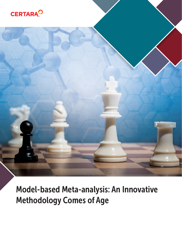



Model-based Meta-analysis: An Innovative Methodology Comes of Age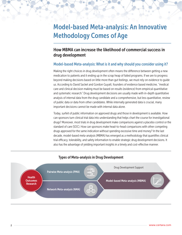# Model-based Meta-analysis: An Innovative Methodology Comes of Age

# How MBMA can increase the likelihood of commercial success in drug development

#### Model-based Meta-analysis: What is it and why should you consider using it?

Making the right choices in drug development often means the difference between getting a new medication to patients and it ending up in the scrap heap of failed programs. If we are to progress beyond making decisions based on little more than gut feelings, we must rely on evidence to guide us. According to David Sacket and Gordon Guyatt, founders of evidence based medicine, "medical care and clinical decision making must be based on results (evidence) from empirical quantitative and systematic research." Drug development decisions are usually made with in-depth quantitative analysis of internal data from the drug candidate and a comprehensive, but less quantitative, review of public data or data from other candidates. While internally generated data is crucial, many important decisions cannot be made with internal data alone.

Today, surfeit of public information on approved drugs and those in development is available. How can sponsors turn clinical trial data into understanding that helps chart the course for investigational drugs? Moreover, most trials in drug development make comparisons against a placebo control or the standard of care (SOC). How can sponsors make head-to-head comparisons with other competing drugs approved for the same indication without spending excessive time and money? In the last decade, model-based meta-analysis (MBMA) has emerged as a methodology that quantifies clinical trial efficacy, tolerability, and safety information to enable strategic drug development decisions. It also has the advantage of yielding important insights in a timely and cost-effective manner.



#### Types of Meta-analysis in Drug Development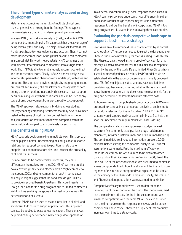# The different types of meta-analyses used in drug development

Meta-analysis combines the results of multiple clinical drug trials to generalize or strengthen the findings. Three types of meta-analysis are used in drug development: pairwise meta-

analysis (PMA), network meta-analysis (NMA), and MBMA. PMA compares treatments in pairs. This approach has the advantage of being relatively fast and easy. The major drawback to PMA is that it only takes head-to-head evidence into account. Thus, it cannot make indirect comparisons of drugs that haven't been compared in a clinical trial. Network meta-analysis (NMA) combines trials with different treatments and comparators into a single framework. Thus, NMA is able to simultaneously accommodate direct and indirect comparisons. Finally, MBMA is a meta-analysis that incorporates parametric pharmacology models (eg, with dose and duration). This approach provides insights by integrating relevant pre-clinical, bio-marker, clinical safety and efficacy data of competing treatment options in a certain disease area. It can support decision making for any therapeutic area and can be used at any stage of drug development from pre-clinical to post-approval.

The MBMA approach also supports bridging across studies, thereby enabling comparing treatments that may never have been tested in the same clinical trial. In contrast, traditional metaanalysis focuses on treatments that were compared within the same trial, and on a particular dose levels for each drug.

# The benefits of using MBMA

MBMA supports decision making in multiple ways. This approach can help gain a better understanding of a drug's dose-response relationship1, support competitive positioning, elucidate endpoint-to-endpoint relationships, and increase the probability of clinical trial success.

For new drugs to be commercially successful, they must differentiate themselves from the SOC. MBMA can help predict how a new drug's safety and efficacy profile might compare to the current SOC and other competitor drugs.<sup>2</sup> In some cases, an analysis might suggest that the candidate drug is unlikely to provide improved benefit to patients. This could results in a "no-go" decision for the drug program due to limited commercial viability, thus enabling the sponsor to invest in programs with better likelihood of success.

Likewise, MBMA can be used to make biomarker to clinical, and short-term to long-term endpoint predictions. This approach can also be applied to scale across indications. These analyses help predict drug performance in later stage development, or

in a different indication. Finally, dose-response models used in MBMA can help sponsors understand how differences in patient populations or trial design aspects may result in differential responses to a drug. The benefits of incorporating MBMA into a drug program are illustrated in the following three case studies.

# Evaluating the psoriasis competitive landscape to support a best-in-class strategy

Psoriasis is an auto-immune disease characterized by abnormal patches of skin. The sponsor needed to select the dose-range for Phase 2 studies of a novel drug for psoriasis using Phase 1b data. The Phase 1b data showed a strong proof-of-concept for drug efficacy; all active treatments resulted in a maximal therapeutic effect by the end of the study. Due to limited Phase 1b data from a small number of patients, no robust PK/PD model could be established. While the sponsor determined an initially proposed dose (25-200 mg, injected subcutaneously at specified time points) range, they were concerned whether this range would allow them to characterize the dose-response relationship for the drug and determine the lowest maximum effective dose.

To borrow strength from published comparator data, MBMA was proposed for conducting a comparator analysis to enable modelbased dose selection for Phase 2 studies.3, 4 This best-in-class strategy would support maximal learning in Phase 2 to help the sponsor understand the requirements for Phase 3 dosing.

The comparator analysis drew upon mean study-arm level data from five commonly used psoriasis drugs—adalimumab, etanercept, infliximab, ustekinumab, and briakunumab (Figure 1). The combined data set included information on over 10,000 patients. Before starting the comparator analysis, four critical assumptions were made. First, the maximum efficacy for the in-house compound was assumed to be similar to other compounds with similar mechanism-of-action (MOA). Next, the time-course of the onset of response was presumed to be similar across compounds. In addition, the efficacy of the Phase 1b dose regimen of the in-house compound was expected to be similar to the efficacy of the Phase 2 dose regimen. Finally, the Phase 1b and Phase 2 patient populations were assumed to be similar.

Comparative efficacy models were used to determine the time-course of the response for the drugs. The models assumed that the maximum efficacy for the in-house compound was similar to competitors with the same MOA. They also assumed that the time-course for the response onset was similar across compounds. These models showed a drug effect that gradually increases over time to a steady-state.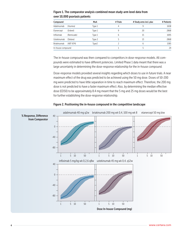| Compound          |            | MoA    | # Trials | # Study arms incl. plac | # Patients |
|-------------------|------------|--------|----------|-------------------------|------------|
| Adalimumab        | (Humira)   | Type 1 |          | 9                       | 1658       |
| Etanercept        | (Enbrel)   | Type 1 | 9        | 20                      | 2868       |
| Infliximab        | (Remicade) | Type 1 | b        | 15                      | 1695       |
| Ustekinumab       | (Stelara)  | Type 2 |          | 13                      | 2868       |
| Briakinumab       | (ABT-874)  | Type2  |          | b                       | 1585       |
| In-house compound |            |        |          |                         | 24         |

#### Figure 1. The comparator analysis combined mean study-arm level data from over 10,000 psoriasis patients

The in-house compound was then compared to competitors in dose-response models. All compounds were estimated to have different potencies. Limited Phase 1 data meant that there was a large uncertainty in determining the dose-response relationship for the in-house compound.

Dose-response models provided several insights regarding which doses to use in future trials. A near maximum effect of the drug was predicted to be achieved using the 50 mg dose. Doses of 50-200 mg were predicted to have little separation in time to reach maximum effect. Therefore, the 200 mg dose is not predicted to have a faster maximum effect. Also, by determining the median effective dose (ED50) to be approximately 8.4 mg meant that the 5 mg and 25 mg doses would be the best for further establishing the dose-response relationship.



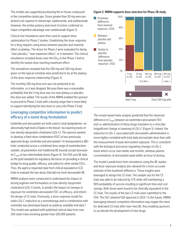The models also supported positioning the in-house compound Figure 3. MBMA supports dose selection for Phase 2B study in the competitive landscape. Doses greater than 50 mg were predicted to be superior to etanercept, adalimumab, and ustekinumab. However, the similar potency and onset of action conferred no major competitive advantage over ustekinumab (Figure 2).

Clinical trial simulations were then used to support dose optimization for Phase 2 studies. Establishing the dose-response for a drug requires using doses between placebo and maximal effect or plateau. The doses for Phase 2 were evaluated for being "near placebo," "near maximum effect," or in between. The clinical simulations included doses near the  $ED_{50}$  in the Phase 2 trial to identify the lowest dose reaching maximum effect.

The simulations revealed that the 100 mg and 200 mg doses given on the typical schedule were predicted to be at the plateau of the dose-response relationship (Figure 3).

The monthly 200 mg dose arm was not predicted to be informative, so it was dropped. Because there was a reasonable probability that the 5 mg dose was not near plateau or placebo, this dose was added. The results of the MBMA enabled the sponsor to proceed to Phase 2 trials with a dosing range that is more likely to support identifying the best dose to carry into Phase 3 trials.

# Leveraging competitor information to predict efficacy of a novel drug formulation

Ezetimibe and atorvastatin are both used to treat dyslipidemia—an abnormally high level of lipids in the blood—by lowering levels of low-density-lipoprotein cholesterol (LDL-C). The sponsor wanted to develop a fixed-dose combination (FDC) of two previously approved drugs, ezetimibe and atorvastatin.<sup>5</sup> In bioequivalence (BE) trials conducted across a combined dose range of ezetimibe/atorvastatin, all parameters met traditional BE bounds except atorvastatin  $C_{\text{max}}$  at two intermediate doses (Figure 4). The FDA uses BE data as the gold standard for regulatory decisions on providing a clinical bridge for drug quality, efficacy, and safety for other similar FDCs. Thus, the agency requested data from clinical equivalence (CE) trials to evaluate the two doses that did not meet atorvastatin BE.

MBMA analyses were conducted to understand the impact of dosing regimen and formulation on low-density-lipoprotein cholesterol (LDL-C) levels, to predict the impact of changes in exposure for ezetimibe+atorvastatin FDC on efficacy, and inform the design of CE trials. Previously, a dose-response model for statin LDL-C reduction as a monotherapy and in combination with ezetimibe was developed based on publicly-available trial data.6 This model was updated with published clinical data from over 200 statin trials involving greater than 100,000 patients.



The model-based meta-analysis predicted that the observed difference in Cmax between an ezetimibe+atorvastatin FDC and co-administration of these drugs translates to a clinicallyinsignificant change in lowering of LDL-C (Figure 5). Indeed, the reduction in LDL-C associated with atorvastatin administration is more highly correlated with total daily atorvastatin dose than with the measurement of peak atorvastatin exposure. This is consistent with the biological processes regulating changes in LDL-C levels which occur over weeks and months, whereas plasma concentrations of atorvastatin peak within an hour of dosing.

The model's predictions from simulations using the BE studies and dose-exposure analysis also allowed for a more accurate estimate of the treatment difference. These insights were leveraged to design the CE trials. The sample size for the CE trials was able to be reduced by 17% while still maintaining a 90% probability of success resulting in significant time and cost savings. Both doses were found to be clinically equivalent in the CE trials. The results of the two CE trials were submitted to the FDA. The FDC attained FDA approval in 2013.7 In the future, MBMA leveraging relevant competitor information may negate the need for dedicated CE trials after near-miss BE, thus enabling sponsors to accelerate the development of new drugs.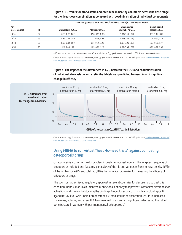#### Figure 4. BE results for atorvastatin and ezetimibe in healthy volunteers across the dose range for the fixed-dose combination as compared with coadministration of individual components

|                       |    | Estimated geometric mean ratio (FDC/coadministration) (90% confidence interval) |                               |                                       |                                            |  |
|-----------------------|----|---------------------------------------------------------------------------------|-------------------------------|---------------------------------------|--------------------------------------------|--|
| Part<br>(dose, mg/mg) |    | Atorvastatin AUC <sub>0-</sub>                                                  | Atorvastatin $C_{\text{max}}$ | Unconjugated<br>ezetimibe $AUC_{0-1}$ | Unconjugated<br>ezetimibe $C_{\text{max}}$ |  |
| 10/10                 | 92 | 0.93(0.86, 1.01)                                                                | 0.90(0.81, 0.99)              | 1.03(0.99, 1.07)                      | 1.13(1.05, 1.22)                           |  |
| 10/20                 | 95 | 0.89(0.83, 0.96)                                                                | 0.77(0.68, 0.87)              | 0.97(0.90, 1.04)                      | 1.00(0.90, 1.10)                           |  |
| 10/40                 | 96 | 0.96(0.94, 1.00)                                                                | 0.81(0.73, 0.90)              | 0.98(0.93, 1.03)                      | 1.03(0.96, 1.10)                           |  |
| 10/80                 | 95 | 1.11(1.06, 1.17)                                                                | 1.09 (0.99, 1.20)             | 0.97(0.93, 1.02)                      | 0.99(0.92, 1.06)                           |  |

AUC, area under the concentration-time curve; BE, bioequivalence; C<sub>max</sub>, peak plasma concentration; FDC, fixed-dose concentration *Clinical Pharmacology & Therapeutics*, Volume 96, Issue 1, pages 101-109, 28 MAR 2014 DOI: 10.1038/clpt.2014.66, http://onlinelibrary.wiley.com/ doi/10.1038/clpt.2014.66/full#cptclpt201466-fig-0003

Figure 5. The impact of the differences in  $C_{\text{max}}$  between the FDCs and coadministration of individual atorvastatin and ezetimibe tablets was predicted to result in an insignificant change in efficacy



*Clinical Pharmacology & Therapeutics*, Volume 96, Issue 1, pages 101-109, 28 MAR 2014 DOI: 10.1038/clpt.2014.66, http://onlinelibrary.wiley.com/ doi/10.1038/clpt.2014.66/full#cptclpt201466-fig-0003

#### Using MBMA to run virtual "head-to-head trials" against competing osteoporosis drugs

Osteoporosis is a common health problem in post-menopausal women. The long-term sequelae of osteoporosis include bone fractures, particularly of the hip and vertebrae. Bone mineral density (BMD) of the lumbar spine (LS) and total hip (TH) is the canonical biomarker for measuring the efficacy of osteoporosis drugs.

The sponsor had achieved regulatory approval in several countries for denosumab to treat this condition. Denosumab is a humanized monoclonal antibody that prevents osteoclast differentiation, activation, and survival by blocking the binding of receptor activator of nuclear factor-kappa B ligand (RANKL) to RANK. Inhibition of osteoclast-mediated bone absorption results in increased bone mass, volume, and strength.<sup>8</sup> Treatment with denosumab significantly decreased the risk of bone fracture in women with postmenopausal osteoporosis.9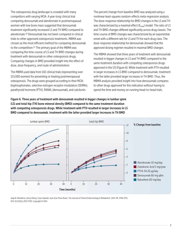The osteoporosis drug landscape is crowded with many competitors with varying MOA. A year-long clinical trial comparing denosumab and alendronate in postmenopausal women with low bone mass suggested that denosumab treatment significantly increased LS and TH BMD compared to alendronate.10 Denosumab has not been compared in clinical trials to other approved osteoporosis treatments. MBMA was chosen as the most efficient method for comparing denosumab to the competition.11 The primary goal of the MBMA was comparing the time course of LS and TH BMD changes during treatment with denosumab or other osteoporosis drugs. Comparing changes in BMD provided insight into the effect of dose, dose frequency, and route of administration.

The MBMA used data from 142 clinical trials (representing over 113,000 women) for preventing or treating postmenopausal osteoporosis. The drugs were grouped according to their MOA: bisphosphonates, selective estrogen receptor modulators (SERMs), parathyroid hormone (PTH), RANKL (denosumab), and calcitonin.

The percent change from baseline BMD was analyzed using a nonlinear least-squares random-effects meta-regression analysis. The dose-response relationship for BMD changes in the LS and TH was characterized by a maximal effect (E<sub>max</sub>) model. The ratio of LS and TH BMD changes differed significantly across drug classes. The time course of BMD changes was characterized by an exponential onset with a different rate for LS and TH for each drug class. The dose-response relationship for denosumab showed that the approved dosing regimen resulted in maximal BMD changes.

The MBMA showed that three years of treatment with denosumab resulted in bigger changes in LS and TH BMD compared to the same treatment duration with competing osteoporosis drugs approved in the US (Figure 6). While treatment with PTH resulted in larger increases in LS BMD compared to denosumab, treatment with the latter provided larger increases in TH BMD. Thus, the MBMA analysis provided insight into how denosumab compares to other drugs approved for this indication without having to spend the time and money on running head-to-head trials.

Figure 6. Three years of treatment with denosumab resulted in bigger changes in lumbar spine (LS) and total hip (TH) bone mineral density (BMD) compared to the same treatment duration with competing osteoporosis drugs. While treatment with PTH resulted in larger increases in LS BMD compared to denosumab, treatment with the latter provided larger increases in TH BMD



Jaap W. Mandema, Jenny Zheng, Cesar Libanati, Juan Jose Perez Ruixo; *The Journal of Clinical Endocrinology & Metabolism* 2014, 99, 3746-3755. DOI: 10.1210/jc.2013-3795, Copyright © 2014